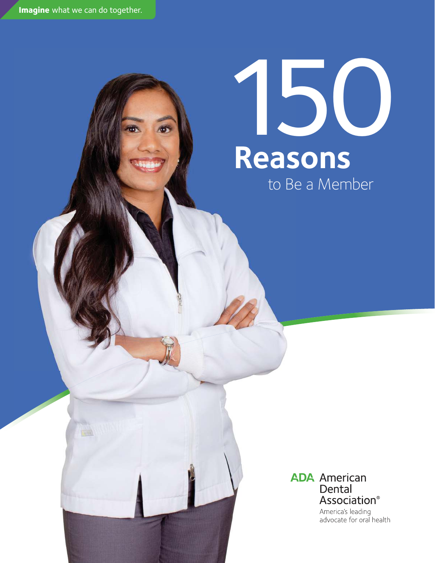**Imagine** what we can do together.

## to Be a Member 150 **Reasons**

## **ADA** American Dental Association®

America's leading advocate for oral health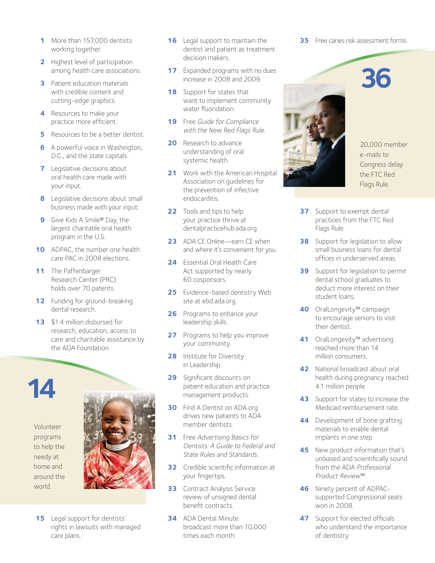- **1**  More than 157,000 dentists working together.
- **2** Highest level of participation among health care associations.
- **3** Patient education materials with credible content and cutting-edge graphics.
- **4**  Resources to make your practice more eficient.
- **5** Resources to be a better dentist.
- **6** A powerful voice in Washington, D.C., and the state capitals.
- **7** Legislative decisions about oral health care made with your input.
- **8** Legislative decisions about small business made with your input.
- **9** Give Kids A Smile<sup>®</sup> Day, the largest charitable oral health program in the U.S.
- **10** ADPAC, the number one health care PAC in 2008 elections.
- 11 The Paffenbarger Research Center (PRC) holds over 70 patents.
- **12** Funding for ground-breaking dental research.
- **13** \$1.4 million disbursed for research, education, access to care and charitable assistance by the ADA Foundation.



Volunteer programs to help the needy at home and around the world.



**15** Legal support for dentists' rights in lawsuits with managed care plans.

- **16** Legal support to maintain the dentist and patient as treatment decision makers.
- **17** Expanded programs with no dues increase in 2008 and 2009.
- **18** Support for states that want to implement community water fluoridation.
- **19** Free Guide for Compliance with the New Red Flags Rule.
- **20** Research to advance understanding of oral systemic health.
- **21** Work with the American Hospital Association on guidelines for the prevention of infective endocarditis.
- **22** Tools and tips to help your practice thrive at dentalpracticehub.ada.org.
- **23** ADA CE Online—earn CE when and where it's convenient for you.
- **24**  Essential Oral Health Care Act supported by nearly 60 cosponsors.
- **25** Evidence-based dentistry Web site at ebd.ada.org.
- **26** Programs to enhance your leadership skills.
- **27** Programs to help you improve your community.
- **28** Institute for Diversity in Leadership.
- **29** Significant discounts on patient education and practice management products.
- **30** Find A Dentist on ADA.org drives new patients to ADA member dentists.
- **31** Free Advertising Basics for Dentists: A Guide to Federal and State Rules and Standards.
- **32** Credible scientific information at your fingertips.
- **33** Contract Analysis Service review of unsigned dental benefit contracts
- **34**  ADA Dental Minute broadcast more than 10,000 times each month.

**35** Free caries risk assessment forms.





20,000 member e-mails to Congress delay the FTC Red Flags Rule.

- **37** Support to exempt dental practices from the FTC Red Flags Rule.
- **38** Support for legislation to allow small business loans for dental ofices in underserved areas.
- **39** Support for legislation to permit dental school graduates to deduct more interest on their student loans.
- **40**  OralLongevity™ campaign to encourage seniors to visit their dentist.
- **41**  OralLongevity™ advertising reached more than 14 million consumers.
- **42** National broadcast about oral health during pregnancy reached 4.1 million people.
- **43** Support for states to increase the Medicaid reimbursement rate.
- **44** Development of bone grafting materials to enable dental implants in one step.
- **45** New product information that's unbiased and scientifically sound from the ADA Professional Product Review™.
- **46**  Ninety percent of ADPACsupported Congressional seats won in 2008.
- **47** Support for elected officials who understand the importance of dentistry.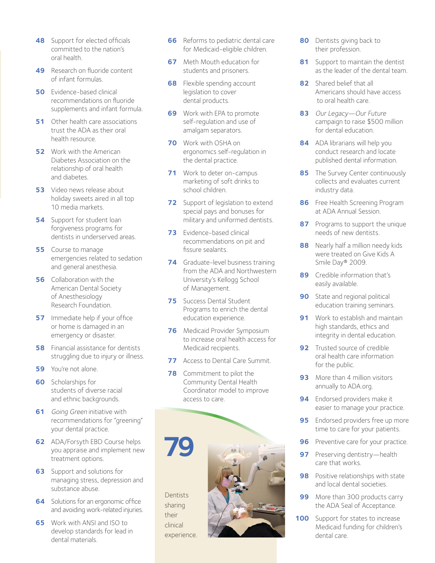- **48** Support for elected officials committed to the nation's oral health.
- **49** Research on fluoride content of infant formulas.
- **50** Evidence-based clinical recommendations on fluoride supplements and infant formula.
- **51** Other health care associations trust the ADA as their oral health resource.
- **52** Work with the American Diabetes Association on the relationship of oral health and diabetes.
- **53** Video news release about holiday sweets aired in all top 10 media markets.
- **54** Support for student loan forgiveness programs for dentists in underserved areas.
- **55** Course to manage emergencies related to sedation and general anesthesia.
- **56** Collaboration with the American Dental Society of Anesthesiology Research Foundation.
- **57** Immediate help if your office or home is damaged in an emergency or disaster.
- **58** Financial assistance for dentists struggling due to injury or illness.
- **59** You're not alone.
- **60**  Scholarships for students of diverse racial and ethnic backgrounds.
- **61** Going Green initiative with recommendations for "greening" your dental practice.
- **62**  ADA/Forsyth EBD Course helps you appraise and implement new treatment options.
- **63** Support and solutions for managing stress, depression and substance abuse.
- **64** Solutions for an ergonomic office and avoiding work-related injuries.
- **65** Work with ANSI and ISO to develop standards for lead in dental materials.
- **66** Reforms to pediatric dental care for Medicaid-eligible children.
- **67** Meth Mouth education for students and prisoners.
- **68** Flexible spending account legislation to cover dental products.
- **69** Work with EPA to promote self-regulation and use of amalgam separators.
- **70**  Work with OSHA on ergonomics self-regulation in the dental practice.
- **71** Work to deter on-campus marketing of soft drinks to school children.
- **72** Support of legislation to extend special pays and bonuses for military and uniformed dentists.
- **73** Evidence-based clinical recommendations on pit and fissure sealants.
- **74** Graduate-level business training from the ADA and Northwestern University's Kellogg School of Management.
- **75** Success Dental Student Programs to enrich the dental education experience.
- **76** Medicaid Provider Symposium to increase oral health access for Medicaid recipients.
- **77** Access to Dental Care Summit.
- **78** Commitment to pilot the Community Dental Health Coordinator model to improve access to care.



- **80** Dentists giving back to their profession.
- **81** Support to maintain the dentist as the leader of the dental team.
- **82**  Shared belief that all Americans should have access to oral health care.
- **83**  Our Legacy—Our Future campaign to raise \$500 million for dental education.
- **84**  ADA librarians will help you conduct research and locate published dental information.
- **85** The Survey Center continuously collects and evaluates current industry data.
- **86** Free Health Screening Program at ADA Annual Session.
- **87** Programs to support the unique needs of new dentists.
- **88** Nearly half a million needy kids were treated on Give Kids A Smile Day® 2009.
- **89** Credible information that's easily available.
- **90** State and regional political education training seminars.
- **91** Work to establish and maintain high standards, ethics and integrity in dental education.
- **92** Trusted source of credible oral health care information for the public.
- **93** More than 4 million visitors annually to ADA.org.
- **94** Endorsed providers make it easier to manage your practice.
- **95** Endorsed providers free up more time to care for your patients.
- **96** Preventive care for your practice.
- **97** Preserving dentistry—health care that works.
- **98** Positive relationships with state and local dental societies.
- **99** More than 300 products carry the ADA Seal of Acceptance.
- **100** Support for states to increase Medicaid funding for children's dental care.